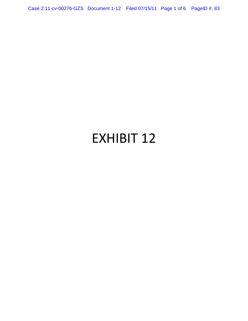Case 2:11-cv-00276-GZS Document 1-12 Filed 07/15/11 Page 1 of 6 PageID #: 83

# EXHIBIT 12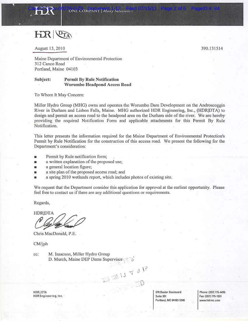

HIR PTA

August 13, 2010

390.131514

Maine Department of Environmental Protection 312 Canco Road Portland, Maine 04103

#### Subject: **Permit By Rule Notification** Worumbo Headpond Access Road

To Whom It May Concern:

Miller Hydro Group (MHG) owns and operates the Worumbo Dam Development on the Androscoggin River in Durham and Lisbon Falls, Maine. MHG authorized HDR Engineering, Inc., (HDR|DTA) to design and permit an access road to the headpond area on the Durham side of the river. We are hereby providing the required Notification Form and applicable attachments for this Permit By Rule Notification.

This letter presents the information required for the Maine Department of Environmental Protection's Permit by Rule Notification for the construction of this access road. We present the following for the Department's consideration:

- Permit by Rule notification form; m
- a written explanation of the proposed use; m
- a general location figure; Ħ
- a site plan of the proposed access road; and in.
- a spring 2010 wetlands report, which includes photos of existing site. π

We request that the Department consider this application for approval at the earliest opportunity. Please feel free to contact us if there are any additional questions or requirements.

 $\frac{1}{2} \int_{0}^{2\pi} \frac{d\theta}{d\theta} \, d\theta \, d\theta \, d\theta$ 

Regards,

**HDRIDTA** 

Chris MacDonald, P.E.

CM/jph

cc: M. Isaacson, Miller Hydro Group D. Murch, Maine DEP Dams Supervisor

**HDRIDTA** HDR Engineering, Inc. 970 Baxter Boulevard Suite 301 Portland, ME 04103-5346

Phone: (207) 775-4495 Fax: (207) 775-1031 www.hdrinc.com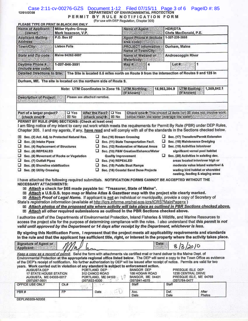# Case 2:11-cv-00276-GZS Document 1-12 Filed 07/15/11 Page 3 of 6 PageID #: 85<br>DEPARTMENT OF ENVIRONMENTAL PROTECTION<br>PERMIT BY RULE NOTIFICATION FORM

| PLEASE TYPE OR PRINT IN BLACK INK ONLY                                                                                                                                                                                                                                                                                                                                                                                       |                                                                                                                                                                       |                                                                                                                                           | (For use with DEP Regulation, Chapter 305)                                                                                                                      |                                                                                                                                                                                                                                                                                                                                                                                                                                                                                                                                                                                                                                                                                                                                                                                                                                                                                                                                                      |             |  |
|------------------------------------------------------------------------------------------------------------------------------------------------------------------------------------------------------------------------------------------------------------------------------------------------------------------------------------------------------------------------------------------------------------------------------|-----------------------------------------------------------------------------------------------------------------------------------------------------------------------|-------------------------------------------------------------------------------------------------------------------------------------------|-----------------------------------------------------------------------------------------------------------------------------------------------------------------|------------------------------------------------------------------------------------------------------------------------------------------------------------------------------------------------------------------------------------------------------------------------------------------------------------------------------------------------------------------------------------------------------------------------------------------------------------------------------------------------------------------------------------------------------------------------------------------------------------------------------------------------------------------------------------------------------------------------------------------------------------------------------------------------------------------------------------------------------------------------------------------------------------------------------------------------------|-------------|--|
| Name of Applicant.<br>(owner)                                                                                                                                                                                                                                                                                                                                                                                                | <b>Miller Hydro Group</b><br>Mark Isaacson, V.P.                                                                                                                      |                                                                                                                                           | <b>Name of Agent:</b>                                                                                                                                           | <b>HDRIDTA</b><br>Chris MacDonald, P.E.                                                                                                                                                                                                                                                                                                                                                                                                                                                                                                                                                                                                                                                                                                                                                                                                                                                                                                              |             |  |
| <b>Applicant Malling</b><br>Address:                                                                                                                                                                                                                                                                                                                                                                                         | P.O. Box 97                                                                                                                                                           |                                                                                                                                           | <b>Agont Phone # (Include</b><br>area code): Silentin                                                                                                           | 1-207-239-3858                                                                                                                                                                                                                                                                                                                                                                                                                                                                                                                                                                                                                                                                                                                                                                                                                                                                                                                                       |             |  |
| Town/City:                                                                                                                                                                                                                                                                                                                                                                                                                   | <b>Lisbon Falls</b>                                                                                                                                                   |                                                                                                                                           | <b>PROJECT Information</b><br>Name of Town/City:                                                                                                                | Durham, Maine                                                                                                                                                                                                                                                                                                                                                                                                                                                                                                                                                                                                                                                                                                                                                                                                                                                                                                                                        |             |  |
| <b>State and Zip code:</b>                                                                                                                                                                                                                                                                                                                                                                                                   | Maine 04252-0097                                                                                                                                                      |                                                                                                                                           | Name of Wetland or<br>Waterbody:<br><b><i><u>ANTIBOTES</u></i></b>                                                                                              | Androscoggin River                                                                                                                                                                                                                                                                                                                                                                                                                                                                                                                                                                                                                                                                                                                                                                                                                                                                                                                                   |             |  |
| Daytime Phone #<br>(Include area code):                                                                                                                                                                                                                                                                                                                                                                                      | 1-207-846-3991                                                                                                                                                        |                                                                                                                                           |                                                                                                                                                                 | $\text{Lot }#$ :<br>1                                                                                                                                                                                                                                                                                                                                                                                                                                                                                                                                                                                                                                                                                                                                                                                                                                                                                                                                |             |  |
| Detailed Directions to Site:                                                                                                                                                                                                                                                                                                                                                                                                 |                                                                                                                                                                       |                                                                                                                                           |                                                                                                                                                                 | The Site is located 0.6 miles north on Route 9 from the intersection of Routes 9 and 125 in                                                                                                                                                                                                                                                                                                                                                                                                                                                                                                                                                                                                                                                                                                                                                                                                                                                          |             |  |
|                                                                                                                                                                                                                                                                                                                                                                                                                              | Durham, ME. The site is located on the northern side of Route 9.                                                                                                      |                                                                                                                                           |                                                                                                                                                                 |                                                                                                                                                                                                                                                                                                                                                                                                                                                                                                                                                                                                                                                                                                                                                                                                                                                                                                                                                      |             |  |
|                                                                                                                                                                                                                                                                                                                                                                                                                              |                                                                                                                                                                       | Note: UTM Coordinates in Zone 19.                                                                                                         | <b>UTM Northing:</b><br>(If known)                                                                                                                              | UTM:Easting:<br>15,983,384.9<br>(If known)                                                                                                                                                                                                                                                                                                                                                                                                                                                                                                                                                                                                                                                                                                                                                                                                                                                                                                           | 1,359,842.1 |  |
| <b>Description of Project:</b>                                                                                                                                                                                                                                                                                                                                                                                               | Please see attached narrative.                                                                                                                                        |                                                                                                                                           |                                                                                                                                                                 |                                                                                                                                                                                                                                                                                                                                                                                                                                                                                                                                                                                                                                                                                                                                                                                                                                                                                                                                                      |             |  |
|                                                                                                                                                                                                                                                                                                                                                                                                                              |                                                                                                                                                                       |                                                                                                                                           |                                                                                                                                                                 |                                                                                                                                                                                                                                                                                                                                                                                                                                                                                                                                                                                                                                                                                                                                                                                                                                                                                                                                                      |             |  |
| Part of a larger project?<br>(check one)                                                                                                                                                                                                                                                                                                                                                                                     | <b>Q</b> Yes<br><b>XX</b> No                                                                                                                                          | After the Fact?   O Yes<br>(check one) → 区 No                                                                                             |                                                                                                                                                                 | Check one > This project D does (or) ISI does not involve work:<br>below mean low water (average low water). The same state of the                                                                                                                                                                                                                                                                                                                                                                                                                                                                                                                                                                                                                                                                                                                                                                                                                   |             |  |
| PERMIT BY RULE (PBR) SECTIONS: (Check at least one)<br>EXI.<br>u.<br>Sec. (3) Intake Pipes<br>o<br>Sec. (4) Replacement of Structures<br>α<br>Sec. (5) REPEALED<br>▫<br>□<br>Sec. (7) Outfall Pipes<br>□<br>Sec. (8) Shoreline stabilization<br>□<br>Sec. (9) Utility Crossing<br><b>NECESSARY ATTACHMENTS:</b><br>図<br>State's registration information (available at http://icrs.informe.org/nei-sos-icrs/ICRS?MainPage=x) | Sec. (2) Act. Adj. to Protected Natural Res.<br>Sec. (6) Movement of Rocks or Vegetation<br>[X] Attach a check for \$65 made payable to: "Treasurer, State of Maine". | α<br>Sec.(10) Stream Crossing<br>u<br>u<br>u<br><b>Quality Improvement</b><br>Sec. (14) REPEALED<br>Sec. (15) Public Boat Ramps<br>u<br>u | Sec. (11) State Transportation Facil.<br>Sec. (12) Restoration of Natural Areas<br>Sec. (13) F&W Creation/Enhance/Water<br>Sec. (16) Coastal Sand Dune Projects | I am filing notice of my intent to carry out work which meets the requirements for Permit By Rule (PBR) under DEP Rules,<br>Chapter 305. I and my agents, if any, have read and will comply with all of the standards in the Sections checked below.<br>Sec. (17) Transfers/Permit Extension<br>Sec. (18) Maintenance Dredging<br>⊔<br>□<br>Sec. (19) Activities in/on/over<br>significant vernal pool habitat<br>Sec. (20) Activities in existing dev.<br>u<br>areas located in/on/over high or<br>moderate value inland waterfowl &<br>wading bird habitat or shorebird<br>nesting, feeding & staging areas<br>I have attached the following required submittals. NOTIFICATION FORMS CANNOT BE ACCEPTED WITHOUT THE<br>Attach a U.S.G.S. topo map or Maine Atlas & Gazetteer map with the project site clearly marked.<br><b>EXI Attach Proof of Legal Name.</b> If applicant is not an individual or municipality, provide a copy of Secretary of |             |  |
|                                                                                                                                                                                                                                                                                                                                                                                                                              | X Attach all other required submissions as outlined in the PBR Sections checked above.                                                                                |                                                                                                                                           |                                                                                                                                                                 | ⊠ Attach photos of the proposed site where activity will take place as outlined in PBR Sections checked above                                                                                                                                                                                                                                                                                                                                                                                                                                                                                                                                                                                                                                                                                                                                                                                                                                        |             |  |
|                                                                                                                                                                                                                                                                                                                                                                                                                              |                                                                                                                                                                       |                                                                                                                                           |                                                                                                                                                                 | I authorize staff of the Departments of Environmental Protection, Inland Fisherles & Wildlife, and Marine Resources to<br>access the project site for the purpose of determining compliance with the rules. I also understand that this permit is not<br>valid until approved by the Department or 14 days after receipt by the Department, whichever is less.<br>By signing this Notification Form, I represent that the project meets all applicability requirements and standards<br>in the rule and that the applicant has sufficient title, right, or interest in the property where the activity takes place.                                                                                                                                                                                                                                                                                                                                  |             |  |
| <b>Signature of Agent or</b><br>Applicant:                                                                                                                                                                                                                                                                                                                                                                                   |                                                                                                                                                                       |                                                                                                                                           |                                                                                                                                                                 | Date:<br>2010<br>6/                                                                                                                                                                                                                                                                                                                                                                                                                                                                                                                                                                                                                                                                                                                                                                                                                                                                                                                                  |             |  |
|                                                                                                                                                                                                                                                                                                                                                                                                                              |                                                                                                                                                                       |                                                                                                                                           |                                                                                                                                                                 | Keep a copy as a record of permit. Send the form with attachments via certified mail or hand deliver to the Maine Dept. of<br>Environmental Protection at the appropriate regional office listed below. The DEP will send a copy to the Town Office as evidence<br>of the DEP's receipt of notification. No further authorization by DEP will be issued after receipt of notice. Permits are valid for two                                                                                                                                                                                                                                                                                                                                                                                                                                                                                                                                           |             |  |

| years. Work carried out in violation of any standard is subject to enforcement action.<br><b>AUGUSTA DEP</b><br><b>17 STATE HOUSE STATION</b><br>AUGUSTA, ME 04333-0017<br>(207) 287-3901 |        | (207)822-6300 | PORTLAND DEP-<br>312 CANCO ROAD<br>PORTLAND, ME 04103 | <b>BANGOR DEP</b><br>106 HOGAN ROAD<br>BANGOR, ME 04401<br>(207)941-4570 | (207)764-0477 | PRESQUE ISLE DEP<br>1235 CENTRAL DRIVE<br>PRESQUE ISLE, ME 04769 |
|-------------------------------------------------------------------------------------------------------------------------------------------------------------------------------------------|--------|---------------|-------------------------------------------------------|--------------------------------------------------------------------------|---------------|------------------------------------------------------------------|
| OFFICE USE ONLY                                                                                                                                                                           | $Ck$ # |               |                                                       | Staff                                                                    | Staff         |                                                                  |
| PBR#                                                                                                                                                                                      | EP     |               | Date                                                  | Acc.<br>Date                                                             | Def.<br>Date  | After<br>Photos                                                  |

DEPLW0309-N2008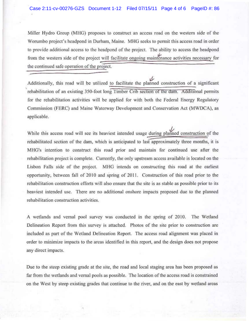Miller Hydro Group (MHG) proposes to construct an access road on the western side of the Worumbo project's hcadpond in Durham, Maine, MHO seeks to permit this access road in order to provide additional access to the headpond of the project. The ability to access the headpond from the western side of the project will facilitate ongoing maintenance activities the continued safe operation of the project.

, Additionally, this road will be utilized rehabilitation of an existing 350-foot long Timber Crib section of the dam. Additional permits for the rehabilitation activities will be applied for with both the Federal Energy Regulatory Commission (FERC) and Maine Waterway Development and Conservation Act (MWDCA), as applicable.

While this access road will see its heaviest intended usage during planned construction of the rehabilitated section of the dam, which is anticipated to last approximately three months, it is MHG's intention to construct this road prior and maintain for continued use after the rehabilitation project is complete. Currently, the only upstream access available is located on the Lisbon Falls side of the project. MHG intends on constructing this road at the earliest opportunity, between fall of 2010 and spring of 2011. Construction of this road prior to the rehabilitation construction efforts will also ensure that the site is as stable as possible prior to its heaviest intcnded use. There are no additional onshore impacts proposed due to the planned rehabilitation construction activities.

A wetlands and vernal pool survey was conducted in the spring of 2010. The Wetland Delineation Report from this survey is attached. Photos of the site prior to construction are included as part of the Weiland Delineation Report. The access road alignment was placed in order to minimize impacts to the areas identified in this report, and the design does not propose any direct impacts.

Due to the steep existing grade at the site, the road and local staging area has been proposed as far from the wetlands and vernal pools as possible. The location of the access road is constrained on the West by steep existing grades that continue to the river, and on the cast by wetland areas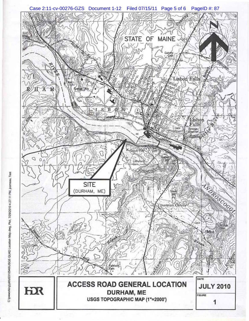

. Test Plot,